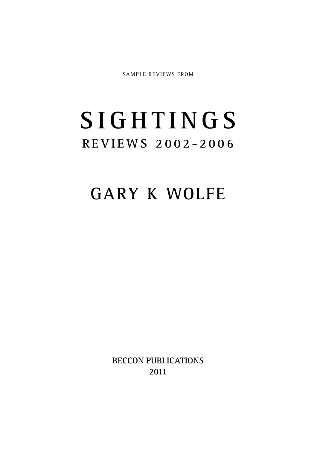SAMPLE REVIEWS FROM

## **S I G H T I N G S R E V I E WS 2 0 0 2 - 2 0 0 6**

## **GARY K WOLFE**

**BECCON PUBLICATIONS 2011**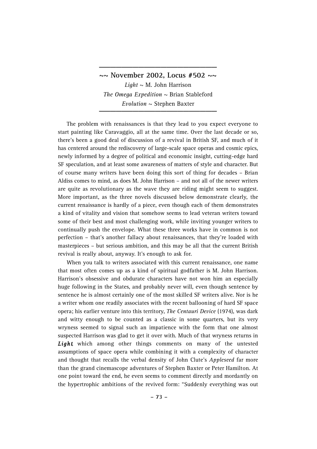**~~ November 2002, Locus #502 ~~** *Light* ~ M. John Harrison *The Omega Expedition* ~ Brian Stableford *Evolution* ~ Stephen Baxter **\_\_\_\_\_\_\_\_\_\_\_\_\_\_\_\_\_\_\_\_\_**

**\_\_\_\_\_\_\_\_\_\_\_\_\_\_\_\_\_\_\_\_\_**

The problem with renaissances is that they lead to you expect everyone to start painting like Caravaggio, all at the same time. Over the last decade or so, there's been a good deal of discussion of a revival in British SF, and much of it has centered around the rediscovery of large-scale space operas and cosmic epics, newly informed by a degree of political and economic insight, cutting-edge hard SF speculation, and at least some awareness of matters of style and character. But of course many writers have been doing this sort of thing for decades – Brian Aldiss comes to mind, as does M. John Harrison – and not all of the newer writers are quite as revolutionary as the wave they are riding might seem to suggest. More important, as the three novels discussed below demonstrate clearly, the current renaissance is hardly of a piece, even though each of them demonstrates a kind of vitality and vision that somehow seems to lead veteran writers toward some of their best and most challenging work, while inviting younger writers to continually push the envelope. What these three works have in common is not perfection – that's another fallacy about renaissances, that they're loaded with masterpieces – but serious ambition, and this may be all that the current British revival is really about, anyway. It's enough to ask for.

When you talk to writers associated with this current renaissance, one name that most often comes up as a kind of spiritual godfather is M. John Harrison. Harrison's obsessive and obdurate characters have not won him an especially huge following in the States, and probably never will, even though sentence by sentence he is almost certainly one of the most skilled SF writers alive. Nor is he a writer whom one readily associates with the recent ballooning of hard SF space opera; his earlier venture into this territory, *The Centauri Device* (1974), was dark and witty enough to be counted as a classic in some quarters, but its very wryness seemed to signal such an impatience with the form that one almost suspected Harrison was glad to get it over with. Much of that wryness returns in *Light*, which among other things comments on many of the untested assumptions of space opera while combining it with a complexity of character and thought that recalls the verbal density of John Clute's *Appleseed* far more than the grand cinemascope adventures of Stephen Baxter or Peter Hamilton. At one point toward the end, he even seems to comment directly and mordantly on the hypertrophic ambitions of the revived form: "Suddenly everything was out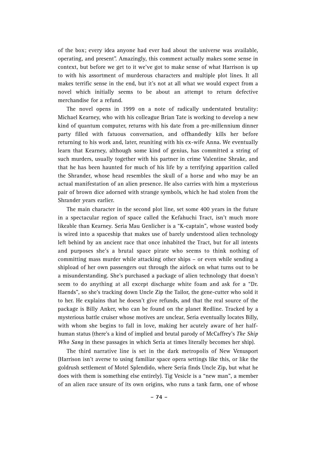of the box; every idea anyone had ever had about the universe was available, operating, and present". Amazingly, this comment actually makes some sense in context, but before we get to it we've got to make sense of what Harrison is up to with his assortment of murderous characters and multiple plot lines. It all makes terrific sense in the end, but it's not at all what we would expect from a novel which initially seems to be about an attempt to return defective merchandise for a refund.

The novel opens in 1999 on a note of radically understated brutality: Michael Kearney, who with his colleague Brian Tate is working to develop a new kind of quantum computer, returns with his date from a pre-millennium dinner party filled with fatuous conversation, and offhandedly kills her before returning to his work and, later, reuniting with his ex-wife Anna. We eventually learn that Kearney, although some kind of genius, has committed a string of such murders, usually together with his partner in crime Valentine Shrake, and that he has been haunted for much of his life by a terrifying apparition called the Shrander, whose head resembles the skull of a horse and who may be an actual manifestation of an alien presence. He also carries with him a mysterious pair of brown dice adorned with strange symbols, which he had stolen from the Shrander years earlier.

The main character in the second plot line, set some 400 years in the future in a spectacular region of space called the Kefahuchi Tract, isn't much more likeable than Kearney. Seria Mau Genlicher is a "K-captain", whose wasted body is wired into a spaceship that makes use of barely understood alien technology left behind by an ancient race that once inhabited the Tract, but for all intents and purposes she's a brutal space pirate who seems to think nothing of committing mass murder while attacking other ships – or even while sending a shipload of her own passengers out through the airlock on what turns out to be a misunderstanding. She's purchased a package of alien technology that doesn't seem to do anything at all except discharge white foam and ask for a "Dr. Haends", so she's tracking down Uncle Zip the Tailor, the gene-cutter who sold it to her. He explains that he doesn't give refunds, and that the real source of the package is Billy Anker, who can be found on the planet Redline. Tracked by a mysterious battle cruiser whose motives are unclear, Seria eventually locates Billy, with whom she begins to fall in love, making her acutely aware of her halfhuman status (there's a kind of implied and brutal parody of McCaffrey's *The Ship Who Sang* in these passages in which Seria at times literally becomes her ship).

The third narrative line is set in the dark metropolis of New Venusport (Harrison isn't averse to using familiar space opera settings like this, or like the goldrush settlement of Motel Splendido, where Seria finds Uncle Zip, but what he does with them is something else entirely). Tig Vesicle is a "new man", a member of an alien race unsure of its own origins, who runs a tank farm, one of whose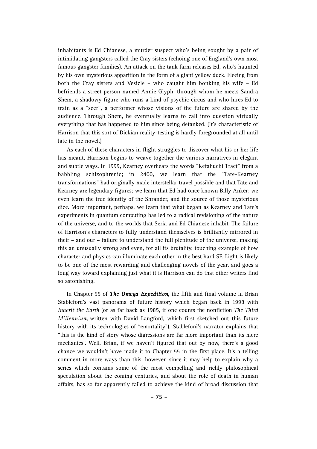inhabitants is Ed Chianese, a murder suspect who's being sought by a pair of intimidating gangsters called the Cray sisters (echoing one of England's own most famous gangster families). An attack on the tank farm releases Ed, who's haunted by his own mysterious apparition in the form of a giant yellow duck. Fleeing from both the Cray sisters and Vesicle – who caught him bonking his wife – Ed befriends a street person named Annie Glyph, through whom he meets Sandra Shem, a shadowy figure who runs a kind of psychic circus and who hires Ed to train as a "seer", a performer whose visions of the future are shared by the audience. Through Shem, he eventually learns to call into question virtually everything that has happened to him since being detanked. (It's characteristic of Harrison that this sort of Dickian reality-testing is hardly foregrounded at all until late in the novel.)

As each of these characters in flight struggles to discover what his or her life has meant, Harrison begins to weave together the various narratives in elegant and subtle ways. In 1999, Kearney overhears the words "Kefahuchi Tract" from a babbling schizophrenic; in 2400, we learn that the "Tate-Kearney transformations" had originally made interstellar travel possible and that Tate and Kearney are legendary figures; we learn that Ed had once known Billy Anker; we even learn the true identity of the Shrander, and the source of those mysterious dice. More important, perhaps, we learn that what began as Kearney and Tate's experiments in quantum computing has led to a radical revisioning of the nature of the universe, and to the worlds that Seria and Ed Chianese inhabit. The failure of Harrison's characters to fully understand themselves is brilliantly mirrored in their – and our – failure to understand the full plenitude of the universe, making this an unusually strong and even, for all its brutality, touching example of how character and physics can illuminate each other in the best hard SF. Light is likely to be one of the most rewarding and challenging novels of the year, and goes a long way toward explaining just what it is Harrison can do that other writers find so astonishing.

In Chapter 55 of *The Omega Expedition*, the fifth and final volume in Brian Stableford's vast panorama of future history which began back in 1998 with *Inherit the Earth* (or as far back as 1985, if one counts the nonfiction *The Third Millennium*, written with David Langford, which first sketched out this future history with its technologies of "emortality"), Stableford's narrator explains that "this is the kind of story whose digressions are far more important than its mere mechanics". Well, Brian, if we haven't figured that out by now, there's a good chance we wouldn't have made it to Chapter 55 in the first place. It's a telling comment in more ways than this, however, since it may help to explain why a series which contains some of the most compelling and richly philosophical speculation about the coming centuries, and about the role of death in human affairs, has so far apparently failed to achieve the kind of broad discussion that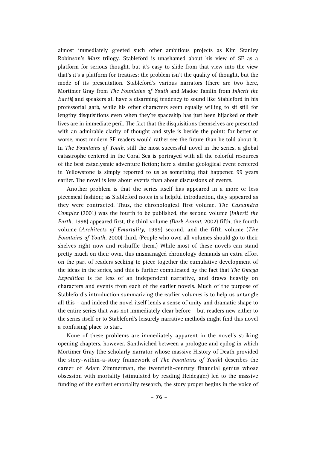almost immediately greeted such other ambitious projects as Kim Stanley Robinson's *Mars* trilogy. Stableford is unashamed about his view of SF as a platform for serious thought, but it's easy to slide from that view into the view that's it's a platform for treatises: the problem isn't the quality of thought, but the mode of its presentation. Stableford's various narrators (there are two here, Mortimer Gray from *The Fountains of Yo u t h* and Madoc Tamlin from *Inherit the Earth*) and speakers all have a disarming tendency to sound like Stableford in his professorial garb, while his other characters seem equally willing to sit still for lengthy disquisitions even when they're spaceship has just been hijacked or their lives are in immediate peril. The fact that the disquisitions themselves are presented with an admirable clarity of thought and style is beside the point: for better or worse, most modern SF readers would rather see the future than be told about it. In *The Fountains of Youth*, still the most successful novel in the series, a global catastrophe centered in the Coral Sea is portrayed with all the colorful resources of the best cataclysmic adventure fiction; here a similar geological event centered in Yellowstone is simply reported to us as something that happened 99 years earlier. The novel is less about events than about discussions of events.

Another problem is that the series itself has appeared in a more or less piecemeal fashion; as Stableford notes in a helpful introduction, they appeared as they were contracted. Thus, the chronological first volume, *The Cassandra Complex* (2001) was the fourth to be published, the second volume (*Inherit the Earth*, 1998) appeared first, the third volume *(Dark Ararat*, 2002) fifth, the fourth volume (*Architects of Emortality*, 1999) second, and the fifth volume (*The Fountains of Youth*, 2000) third. (People who own all volumes should go to their shelves right now and reshuffle them.) While most of these novels can stand pretty much on their own, this mismanaged chronology demands an extra effort on the part of readers seeking to piece together the cumulative development of the ideas in the series, and this is further complicated by the fact that *The Omega Expedition* is far less of an independent narrative, and draws heavily on characters and events from each of the earlier novels. Much of the purpose of Stableford's introduction summarizing the earlier volumes is to help us untangle all this – and indeed the novel itself lends a sense of unity and dramatic shape to the entire series that was not immediately clear before – but readers new either to the series itself or to Stableford's leisurely narrative methods might find this novel a confusing place to start.

None of these problems are immediately apparent in the novel's striking opening chapters, however. Sandwiched between a prologue and epilog in which Mortimer Gray (the scholarly narrator whose massive History of Death provided the story-within-a-story framework of *The Fountains of Youth*) describes the career of Adam Zimmerman, the twentieth-century financial genius whose obsession with mortality (stimulated by reading Heidegger) led to the massive funding of the earliest emortality research, the story proper begins in the voice of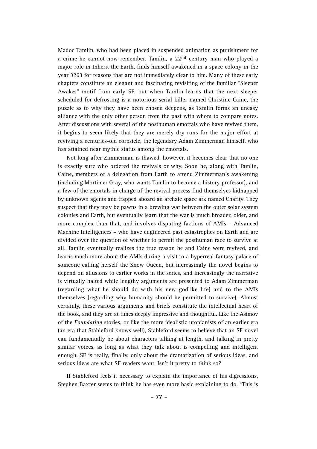Madoc Tamlin, who had been placed in suspended animation as punishment for a crime he cannot now remember. Tamlin, a 22nd century man who played a major role in Inherit the Earth, finds himself awakened in a space colony in the year 3263 for reasons that are not immediately clear to him. Many of these early chapters constitute an elegant and fascinating revisiting of the familiar "Sleeper Awakes" motif from early SF, but when Tamlin learns that the next sleeper scheduled for defrosting is a notorious serial killer named Christine Caine, the puzzle as to why they have been chosen deepens, as Tamlin forms an uneasy alliance with the only other person from the past with whom to compare notes. After discussions with several of the posthuman emortals who have revived them, it begins to seem likely that they are merely dry runs for the major effort at reviving a centuries-old corpsicle, the legendary Adam Zimmerman himself, who has attained near mythic status among the emortals.

Not long after Zimmerman is thawed, however, it becomes clear that no one is exactly sure who ordered the revivals or why. Soon he, along with Tamlin, Caine, members of a delegation from Earth to attend Zimmerman's awakening (including Mortimer Gray, who wants Tamlin to become a history professor), and a few of the emortals in charge of the revival process find themselves kidnapped by unknown agents and trapped aboard an archaic space ark named Charity. They suspect that they may be pawns in a brewing war between the outer solar system colonies and Earth, but eventually learn that the war is much broader, older, and more complex than that, and involves disputing factions of AMIs – Advanced Machine Intelligences – who have engineered past catastrophes on Earth and are divided over the question of whether to permit the posthuman race to survive at all. Tamlin eventually realizes the true reason he and Caine were revived, and learns much more about the AMIs during a visit to a hyperreal fantasy palace of someone calling herself the Snow Queen, but increasingly the novel begins to depend on allusions to earlier works in the series, and increasingly the narrative is virtually halted while lengthy arguments are presented to Adam Zimmerman (regarding what he should do with his new godlike life) and to the AMIs themselves (regarding why humanity should be permitted to survive). Almost certainly, these various arguments and briefs constitute the intellectual heart of the book, and they are at times deeply impressive and thoughtful. Like the Asimov of the *Foundation* stories, or like the more idealistic utopianists of an earlier era (an era that Stableford knows well), Stableford seems to believe that an SF novel can fundamentally be about characters talking at length, and talking in pretty similar voices, as long as what they talk about is compelling and intelligent enough. SF is really, finally, only about the dramatization of serious ideas, and serious ideas are what SF readers want. Isn't it pretty to think so?

If Stableford feels it necessary to explain the importance of his digressions, Stephen Baxter seems to think he has even more basic explaining to do. "This is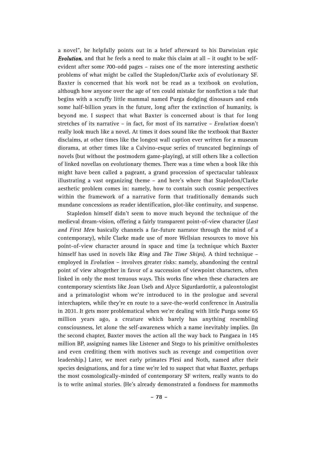a novel", he helpfully points out in a brief afterward to his Darwinian epic *Evolution*, and that he feels a need to make this claim at all – it ought to be selfevident after some 700-odd pages – raises one of the more interesting aesthetic problems of what might be called the Stapledon/Clarke axis of evolutionary SF. Baxter is concerned that his work not be read as a textbook on evolution, although how anyone over the age of ten could mistake for nonfiction a tale that begins with a scruffy little mammal named Purga dodging dinosaurs and ends some half-billion years in the future, long after the extinction of humanity, is beyond me. I suspect that what Baxter is concerned about is that for long stretches of its narrative – in fact, for most of its narrative – *Evolution* doesn't really look much like a novel. At times it does sound like the textbook that Baxter disclaims, at other times like the longest wall caption ever written for a museum diorama, at other times like a Calvino-esque series of truncated beginnings of novels (but without the postmodern game-playing), at still others like a collection of linked novellas on evolutionary themes. There was a time when a book like this might have been called a pageant, a grand procession of spectacular tableaux illustrating a vast organizing theme – and here's where that Stapledon/Clarke aesthetic problem comes in: namely, how to contain such cosmic perspectives within the framework of a narrative form that traditionally demands such mundane concessions as reader identification, plot-like continuity, and suspense.

Stapledon himself didn't seem to move much beyond the technique of the medieval dream-vision, offering a fairly transparent point-of-view character (*Last and First Men* basically channels a far-future narrator through the mind of a contemporary), while Clarke made use of more Wellsian resources to move his point-of-view character around in space and time (a technique which Baxter himself has used in novels like *Ring* and *The Time Ships*). A third technique – employed in *Evolution* – involves greater risks: namely, abandoning the central point of view altogether in favor of a succession of viewpoint characters, often linked in only the most tenuous ways. This works fine when these characters are contemporary scientists like Joan Useb and Alyce Sigurdardottir, a paleontologist and a primatologist whom we're introduced to in the prologue and several interchapters, while they're en route to a save-the-world conference in Australia in 2031. It gets more problematical when we're dealing with little Purga some 65 million years ago, a creature which barely has anything resembling consciousness, let alone the self-awareness which a name inevitably implies. (In the second chapter, Baxter moves the action all the way back to Pangaea in 145 million BP, assigning names like Listener and Stego to his primitive ornitholestes and even crediting them with motives such as revenge and competition over leadership.) Later, we meet early primates Plesi and Noth, named after their species designations, and for a time we're led to suspect that what Baxter, perhaps the most cosmologically-minded of contemporary SF writers, really wants to do is to write animal stories. (He's already demonstrated a fondness for mammoths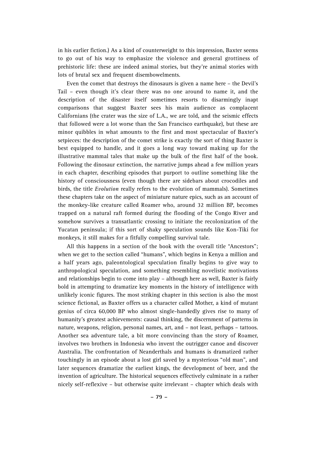in his earlier fiction.) As a kind of counterweight to this impression, Baxter seems to go out of his way to emphasize the violence and general grottiness of prehistoric life: these are indeed animal stories, but they're animal stories with lots of brutal sex and frequent disembowelments.

Even the comet that destroys the dinosaurs is given a name here – the Devil's Tail – even though it's clear there was no one around to name it, and the description of the disaster itself sometimes resorts to disarmingly inapt comparisons that suggest Baxter sees his main audience as complacent Californians (the crater was the size of L.A., we are told, and the seismic effects that followed were a lot worse than the San Francisco earthquake), but these are minor quibbles in what amounts to the first and most spectacular of Baxter's setpieces: the description of the comet strike is exactly the sort of thing Baxter is best equipped to handle, and it goes a long way toward making up for the illustrative mammal tales that make up the bulk of the first half of the book. Following the dinosaur extinction, the narrative jumps ahead a few million years in each chapter, describing episodes that purport to outline something like the history of consciousness (even though there are sidebars about crocodiles and birds, the title *Evolution* really refers to the evolution of mammals). Sometimes these chapters take on the aspect of miniature nature epics, such as an account of the monkey-like creature called Roamer who, around 32 million BP, becomes trapped on a natural raft formed during the flooding of the Congo River and somehow survives a transatlantic crossing to initiate the recolonization of the Yucatan peninsula; if this sort of shaky speculation sounds like Kon-Tiki for monkeys, it still makes for a fitfully compelling survival tale.

All this happens in a section of the book with the overall title "Ancestors"; when we get to the section called "humans", which begins in Kenya a million and a half years ago, paleontological speculation finally begins to give way to anthropological speculation, and something resembling novelistic motivations and relationships begin to come into play – although here as well, Baxter is fairly bold in attempting to dramatize key moments in the history of intelligence with unlikely iconic figures. The most striking chapter in this section is also the most science fictional, as Baxter offers us a character called Mother, a kind of mutant genius of circa 60,000 BP who almost single-handedly gives rise to many of humanity's greatest achievements: causal thinking, the discernment of patterns in nature, weapons, religion, personal names, art, and – not least, perhaps – tattoos. Another sea adventure tale, a bit more convincing than the story of Roamer, involves two brothers in Indonesia who invent the outrigger canoe and discover Australia. The confrontation of Neanderthals and humans is dramatized rather touchingly in an episode about a lost girl saved by a mysterious "old man", and later sequences dramatize the earliest kings, the development of beer, and the invention of agriculture. The historical sequences effectively culminate in a rather nicely self-reflexive – but otherwise quite irrelevant – chapter which deals with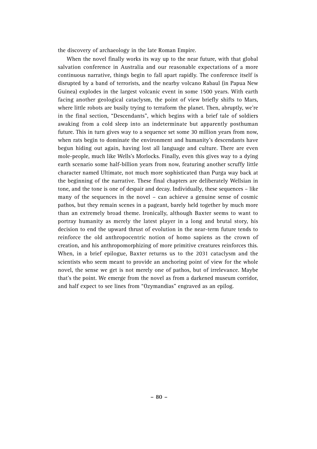the discovery of archaeology in the late Roman Empire.

When the novel finally works its way up to the near future, with that global salvation conference in Australia and our reasonable expectations of a more continuous narrative, things begin to fall apart rapidly. The conference itself is disrupted by a band of terrorists, and the nearby volcano Rabaul (in Papua New Guinea) explodes in the largest volcanic event in some 1500 years. With earth facing another geological cataclysm, the point of view briefly shifts to Mars, where little robots are busily trying to terraform the planet. Then, abruptly, we're in the final section, "Descendants", which begins with a brief tale of soldiers awaking from a cold sleep into an indeterminate but apparently posthuman future. This in turn gives way to a sequence set some 30 million years from now, when rats begin to dominate the environment and humanity's descendants have begun hiding out again, having lost all language and culture. There are even mole-people, much like Wells's Morlocks. Finally, even this gives way to a dying earth scenario some half-billion years from now, featuring another scruffy little character named Ultimate, not much more sophisticated than Purga way back at the beginning of the narrative. These final chapters are deliberately Wellsian in tone, and the tone is one of despair and decay. Individually, these sequences – like many of the sequences in the novel – can achieve a genuine sense of cosmic pathos, but they remain scenes in a pageant, barely held together by much more than an extremely broad theme. Ironically, although Baxter seems to want to portray humanity as merely the latest player in a long and brutal story, his decision to end the upward thrust of evolution in the near-term future tends to reinforce the old anthropocentric notion of homo sapiens as the crown of creation, and his anthropomorphizing of more primitive creatures reinforces this. When, in a brief epilogue, Baxter returns us to the 2031 cataclysm and the scientists who seem meant to provide an anchoring point of view for the whole novel, the sense we get is not merely one of pathos, but of irrelevance. Maybe that's the point. We emerge from the novel as from a darkened museum corridor, and half expect to see lines from "Ozymandias" engraved as an epilog.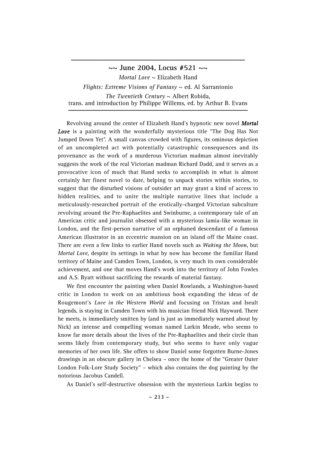**~~ June 2004, Locus #521 ~~** *Mortal Love* ~ Elizabeth Hand *Flights: Extreme Visions of Fantasy* ~ ed. Al Sarrantonio *The Twentieth Century*  $\sim$  Albert Robida, trans. and introduction by Philippe Willems, ed. by Arthur B. Evans

**\_\_\_\_\_\_\_\_\_\_\_\_\_\_\_\_\_\_\_\_\_\_\_\_\_\_\_\_\_\_\_**

Revolving around the center of Elizabeth Hand's hypnotic new novel *Mortal* **Love** is a painting with the wonderfully mysterious title "The Dog Has Not Jumped Down Yet". A small canvas crowded with figures, its ominous depiction of an uncompleted act with potentially catastrophic consequences and its provenance as the work of a murderous Victorian madman almost inevitably suggests the work of the real Victorian madman Richard Dadd, and it serves as a provocative icon of much that Hand seeks to accomplish in what is almost certainly her finest novel to date, helping to unpack stories within stories, to suggest that the disturbed visions of outsider art may grant a kind of access to hidden realities, and to unite the multiple narrative lines that include a meticulously-researched portrait of the erotically-charged Victorian subculture revolving around the Pre-Raphaelites and Swinburne, a contemporary tale of an American critic and journalist obsessed with a mysterious lamia-like woman in London, and the first-person narrative of an orphaned descendant of a famous American illustrator in an eccentric mansion on an island off the Maine coast. There are even a few links to earlier Hand novels such as *Waking the Moon*, but *Mortal Love*, despite its settings in what by now has become the familiar Hand territory of Maine and Camden Town, London, is very much its own considerable achievement, and one that moves Hand's work into the territory of John Fowles and A.S. Byatt without sacrificing the rewards of material fantasy.

We first encounter the painting when Daniel Rowlands, a Washington-based critic in London to work on an ambitious book expanding the ideas of de Rougemont's *Love in the Western World* and focusing on Tristan and Iseult legends, is staying in Camden Town with his musician friend Nick Hayward. There he meets, is immediately smitten by (and is just as immediately warned about by Nick) an intense and compelling woman named Larkin Meade, who seems to know far more details about the lives of the Pre-Raphaelites and their circle than seems likely from contemporary study, but who seems to have only vague memories of her own life. She offers to show Daniel some forgotten Burne-Jones drawings in an obscure gallery in Chelsea – once the home of the "Greater Outer London Folk-Lore Study Society" – which also contains the dog painting by the notorious Jacobus Candell.

As Daniel's self-destructive obsession with the mysterious Larkin begins to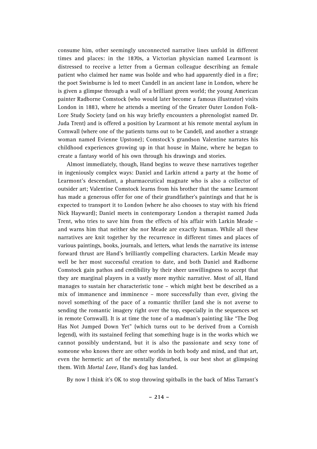consume him, other seemingly unconnected narrative lines unfold in different times and places: in the 1870s, a Victorian physician named Learmont is distressed to receive a letter from a German colleague describing an female patient who claimed her name was Isolde and who had apparently died in a fire; the poet Swinburne is led to meet Candell in an ancient lane in London, where he is given a glimpse through a wall of a brilliant green world; the young American painter Radborne Comstock (who would later become a famous illustrator) visits London in 1883, where he attends a meeting of the Greater Outer London Folk-Lore Study Society (and on his way briefly encounters a phrenologist named Dr. Juda Trent) and is offered a position by Learmont at his remote mental asylum in Cornwall (where one of the patients turns out to be Candell, and another a strange woman named Evienne Upstone); Comstock's grandson Valentine narrates his childhood experiences growing up in that house in Maine, where he began to create a fantasy world of his own through his drawings and stories.

Almost immediately, though, Hand begins to weave these narratives together in ingeniously complex ways: Daniel and Larkin attend a party at the home of Learmont's descendant, a pharmaceutical magnate who is also a collector of outsider art; Valentine Comstock learns from his brother that the same Learmont has made a generous offer for one of their grandfather's paintings and that he is expected to transport it to London (where he also chooses to stay with his friend Nick Hayward); Daniel meets in contemporary London a therapist named Juda Trent, who tries to save him from the effects of his affair with Larkin Meade – and warns him that neither she nor Meade are exactly human. While all these narratives are knit together by the recurrence in different times and places of various paintings, books, journals, and letters, what lends the narrative its intense forward thrust are Hand's brilliantly compelling characters. Larkin Meade may well be her most successful creation to date, and both Daniel and Radborne Comstock gain pathos and credibility by their sheer unwillingness to accept that they are marginal players in a vastly more mythic narrative. Most of all, Hand manages to sustain her characteristic tone – which might best be described as a mix of immanence and imminence – more successfully than ever, giving the novel something of the pace of a romantic thriller (and she is not averse to sending the romantic imagery right over the top, especially in the sequences set in remote Cornwall). It is at time the tone of a madman's painting like "The Dog Has Not Jumped Down Yet" (which turns out to be derived from a Cornish legend), with its sustained feeling that something huge is in the works which we cannot possibly understand, but it is also the passionate and sexy tone of someone who knows there are other worlds in both body and mind, and that art, even the hermetic art of the mentally disturbed, is our best shot at glimpsing them. With *Mortal Love*, Hand's dog has landed.

By now I think it's OK to stop throwing spitballs in the back of Miss Tarrant's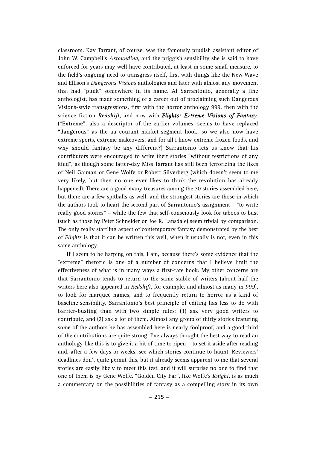classroom. Kay Tarrant, of course, was the famously prudish assistant editor of John W. Campbell's *Astounding*, and the priggish sensibility she is said to have enforced for years may well have contributed, at least in some small measure, to the field's ongoing need to transgress itself, first with things like the New Wave and Ellison's *Dangerous Visions* anthologies and later with almost any movement that had "punk" somewhere in its name. Al Sarrantonio, generally a fine anthologist, has made something of a career out of proclaiming such Dangerous Visions-style transgressions, first with the horror anthology 999, then with the science fiction *Redshift*, and now with *Flights: Extreme Visions of Fantasy*. ("Extreme", also a descriptor of the earlier volumes, seems to have replaced "dangerous" as the au courant market-segment hook, so we also now have extreme sports, extreme makeovers, and for all I know extreme frozen foods, and why should fantasy be any different?) Sarrantonio lets us know that his contributors were encouraged to write their stories "without restrictions of any kind", as though some latter-day Miss Tarrant has still been terrorizing the likes of Neil Gaiman or Gene Wolfe or Robert Silverberg (which doesn't seem to me very likely, but then no one ever likes to think the revolution has already happened). There are a good many treasures among the 30 stories assembled here, but there are a few spitballs as well, and the strongest stories are those in which the authors took to heart the second part of Sarrantonio's assignment – "to write really good stories" – while the few that self-consciously look for taboos to bust (such as those by Peter Schneider or Joe R. Lansdale) seem trivial by comparison. The only really startling aspect of contemporary fantasy demonstrated by the best of *Flights* is that it can be written this well, when it usually is not, even in this same anthology.

If I seem to be harping on this, I am, because there's some evidence that the "extreme" rhetoric is one of a number of concerns that I believe limit the effectiveness of what is in many ways a first-rate book. My other concerns are that Sarrantonio tends to return to the same stable of writers (about half the writers here also appeared in *Redshift*, for example, and almost as many in *999*), to look for marquee names, and to frequently return to horror as a kind of baseline sensibility. Sarrantonio's best principle of editing has less to do with barrier-busting than with two simple rules: (1) ask very good writers to contribute, and (2) ask a lot of them. Almost any group of thirty stories featuring some of the authors he has assembled here is nearly foolproof, and a good third of the contributions are quite strong. I've always thought the best way to read an anthology like this is to give it a bit of time to ripen – to set it aside after reading and, after a few days or weeks, see which stories continue to haunt. Reviewers' deadlines don't quite permit this, but it already seems apparent to me that several stories are easily likely to meet this test, and it will surprise no one to find that one of them is by Gene Wolfe. "Golden City Far", like Wolfe's *Knight*, is as much a commentary on the possibilities of fantasy as a compelling story in its own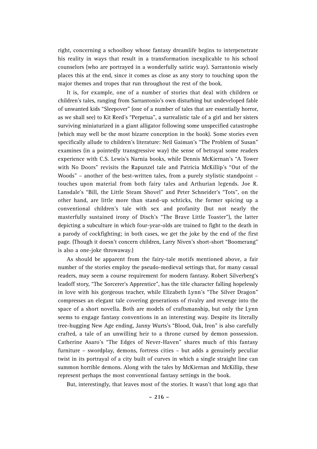right, concerning a schoolboy whose fantasy dreamlife begins to interpenetrate his reality in ways that result in a transformation inexplicable to his school counselors (who are portrayed in a wonderfully satiric way). Sarrantonio wisely places this at the end, since it comes as close as any story to touching upon the major themes and tropes that run throughout the rest of the book.

It is, for example, one of a number of stories that deal with children or children's tales, ranging from Sarrantonio's own disturbing but undeveloped fable of unwanted kids "Sleepover" (one of a number of tales that are essentially horror, as we shall see) to Kit Reed's "Perpetua", a surrealistic tale of a girl and her sisters surviving miniaturized in a giant alligator following some unspecified catastrophe (which may well be the most bizarre conception in the book). Some stories even specifically allude to children's literature: Neil Gaiman's "The Problem of Susan" examines (in a pointedly transgressive way) the sense of betrayal some readers experience with C.S. Lewis's Narnia books, while Dennis McKiernan's "A Tower with No Doors" revisits the Rapunzel tale and Patricia McKillip's "Out of the Woods" – another of the best-written tales, from a purely stylistic standpoint – touches upon material from both fairy tales and Arthurian legends. Joe R. Lansdale's "Bill, the Little Steam Shovel" and Peter Schneider's "Tots", on the other hand, are little more than stand-up schticks, the former spicing up a conventional children's tale with sex and profanity (but not nearly the masterfully sustained irony of Disch's "The Brave Little Toaster"), the latter depicting a subculture in which four-year-olds are trained to fight to the death in a parody of cockfighting; in both cases, we get the joke by the end of the first page. (Though it doesn't concern children, Larry Niven's short-short "Boomerang" is also a one-joke throwaway.)

As should be apparent from the fairy-tale motifs mentioned above, a fair number of the stories employ the pseudo-medieval settings that, for many casual readers, may seem a course requirement for modern fantasy. Robert Silverberg's leadoff story, "The Sorcerer's Apprentice", has the title character falling hopelessly in love with his gorgeous teacher, while Elizabeth Lynn's "The Silver Dragon" compresses an elegant tale covering generations of rivalry and revenge into the space of a short novella. Both are models of craftsmanship, but only the Lynn seems to engage fantasy conventions in an interesting way. Despite its literally tree-hugging New Age ending, Janny Wurts's "Blood, Oak, Iron" is also carefully crafted, a tale of an unwilling heir to a throne cursed by demon possession. Catherine Asaro's "The Edges of Never-Haven" shares much of this fantasy furniture – swordplay, demons, fortress cities – but adds a genuinely peculiar twist in its portrayal of a city built of curves in which a single straight line can summon horrible demons. Along with the tales by McKiernan and McKillip, these represent perhaps the most conventional fantasy settings in the book.

But, interestingly, that leaves most of the stories. It wasn't that long ago that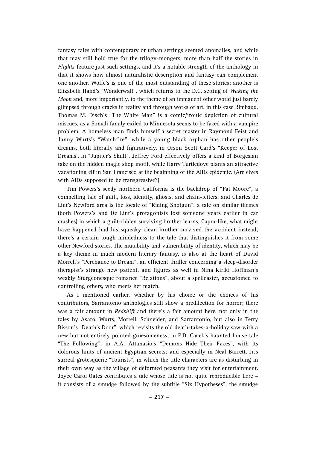fantasy tales with contemporary or urban settings seemed anomalies, and while that may still hold true for the trilogy-mongers, more than half the stories in *Flights* feature just such settings, and it's a notable strength of the anthology in that it shows how almost naturalistic description and fantasy can complement one another. Wolfe's is one of the most outstanding of these stories; another is Elizabeth Hand's "Wonderwall", which returns to the D.C. setting of *Waking the Moon* and, more importantly, to the theme of an immanent other world just barely glimpsed through cracks in reality and through works of art, in this case Rimbaud. Thomas M. Disch's "The White Man" is a comic/ironic depiction of cultural miscues, as a Somali family exiled to Minnesota seems to be faced with a vampire problem. A homeless man finds himself a secret master in Raymond Feist and Janny Wurts's "Watchfire", while a young black orphan has other people's dreams, both literally and figuratively, in Orson Scott Card's "Keeper of Lost Dreams". In "Jupiter's Skull", Jeffrey Ford effectively offers a kind of Borgesian take on the hidden magic shop motif, while Harry Turtledove plants an attractive vacationing elf in San Francisco at the beginning of the AIDs epidemic. (Are elves with AIDs supposed to be transgressive?)

Tim Powers's seedy northern California is the backdrop of "Pat Moore", a compelling tale of guilt, loss, identity, ghosts, and chain-letters, and Charles de Lint's Newford area is the locale of "Riding Shotgun", a tale on similar themes (both Powers's and De Lint's protagonists lost someone years earlier in car crashes) in which a guilt-ridden surviving brother learns, Capra-like, what might have happened had his squeaky-clean brother survived the accident instead; there's a certain tough-mindedness to the tale that distinguishes it from some other Newford stories. The mutability and vulnerability of identity, which may be a key theme in much modern literary fantasy, is also at the heart of David Morrell's "Perchance to Dream", an efficient thriller concerning a sleep-disorder therapist's strange new patient, and figures as well in Nina Kiriki Hoffman's weakly Sturgeonesque romance "Relations", about a spellcaster, accustomed to controlling others, who meets her match.

As I mentioned earlier, whether by his choice or the choices of his contributors, Sarrantonio anthologies still show a predilection for horror; there was a fair amount in *Redshift* and there's a fair amount here, not only in the tales by Asaro, Wurts, Morrell, Schneider, and Sarrantonio, but also in Terry Bisson's "Death's Door", which revisits the old death-takes-a-holiday saw with a new but not entirely pointed gruesomeness; in P.D. Cacek's haunted house tale "The Following"; in A.A. Attanasio's "Demons Hide Their Faces", with its dolorous hints of ancient Egyptian secrets; and especially in Neal Barrett, Jr.'s surreal grotesquerie "Tourists", in which the title characters are as disturbing in their own way as the village of deformed peasants they visit for entertainment. Joyce Carol Oates contributes a tale whose title is not quite reproducible here – it consists of a smudge followed by the subtitle "Six Hypotheses", the smudge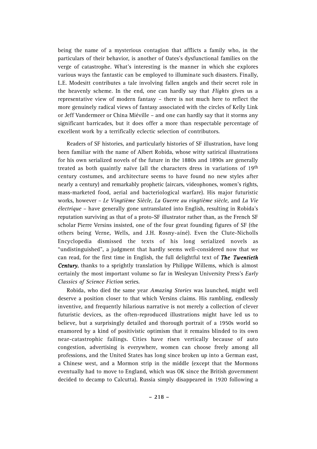being the name of a mysterious contagion that afflicts a family who, in the particulars of their behavior, is another of Oates's dysfunctional families on the verge of catastrophe. What's interesting is the manner in which she explores various ways the fantastic can be employed to illuminate such disasters. Finally, L.E. Modesitt contributes a tale involving fallen angels and their secret role in the heavenly scheme. In the end, one can hardly say that *Fliahts* gives us a representative view of modern fantasy – there is not much here to reflect the more genuinely radical views of fantasy associated with the circles of Kelly Link or Jeff Vandermeer or China Miéville – and one can hardly say that it storms any significant barricades, but it does offer a more than respectable percentage of excellent work by a terrifically eclectic selection of contributors.

Readers of SF histories, and particularly histories of SF illustration, have long been familiar with the name of Albert Robida, whose witty satirical illustrations for his own serialized novels of the future in the 1880s and 1890s are generally treated as both quaintly naïve (all the characters dress in variations of 19<sup>th</sup> century costumes, and architecture seems to have found no new styles after nearly a century) and remarkably prophetic (aircars, videophones, women's rights, mass-marketed food, aerial and bacteriological warfare). His major futuristic works, however – *Le Vingtième Siècle, La Guerre au vingtième siècle,* and *La Vie électrique* – have generally gone untranslated into English, resulting in Robida's reputation surviving as that of a proto-SF illustrator rather than, as the French SF scholar Pierre Versins insisted, one of the four great founding figures of SF (the others being Verne, Wells, and J.H. Rosny-aíné). Even the Clute-Nicholls Encyclopedia dismissed the texts of his long serialized novels as "undistinguished", a judgment that hardly seems well-considered now that we can read, for the first time in English, the full delightful text of *The Twentieth Century*, thanks to a sprightly translation by Philippe Willems, which is almost certainly the most important volume so far in Wesleyan University Press's *Early Classics of Science Fiction* series.

Robida, who died the same year *Amazing Stories* was launched, might well deserve a position closer to that which Versins claims. His rambling, endlessly inventive, and frequently hilarious narrative is not merely a collection of clever futuristic devices, as the often-reproduced illustrations might have led us to believe, but a surprisingly detailed and thorough portrait of a 1950s world so enamored by a kind of positivistic optimism that it remains blinded to its own near-catastrophic failings. Cities have risen vertically because of auto congestion, advertising is everywhere, women can choose freely among all professions, and the United States has long since broken up into a German east, a Chinese west, and a Mormon strip in the middle (except that the Mormons eventually had to move to England, which was OK since the British government decided to decamp to Calcutta). Russia simply disappeared in 1920 following a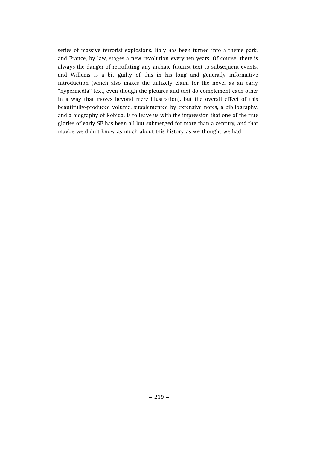series of massive terrorist explosions, Italy has been turned into a theme park, and France, by law, stages a new revolution every ten years. Of course, there is always the danger of retrofitting any archaic futurist text to subsequent events, and Willems is a bit guilty of this in his long and generally informative introduction (which also makes the unlikely claim for the novel as an early "hypermedia" text, even though the pictures and text do complement each other in a way that moves beyond mere illustration), but the overall effect of this beautifully-produced volume, supplemented by extensive notes, a bibliography, and a biography of Robida, is to leave us with the impression that one of the true glories of early SF has been all but submerged for more than a century, and that maybe we didn't know as much about this history as we thought we had.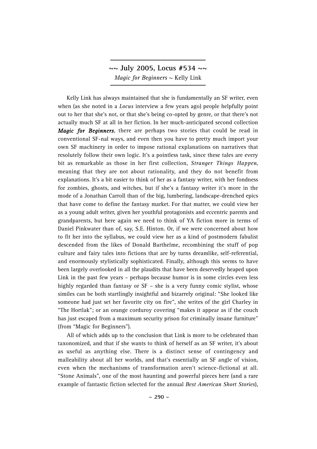**~~ July 2005, Locus #534 ~~** *Magic for Beginners* ~ Kelly Link

**\_\_\_\_\_\_\_\_\_\_\_\_\_\_\_\_\_**

Kelly Link has always maintained that she is fundamentally an SF writer, even when (as she noted in a *Locus* interview a few years ago) people helpfully point out to her that she's not, or that she's being co-opted by genre, or that there's not actually much SF at all in her fiction. In her much-anticipated second collection *Magic for Beginners*, there are perhaps two stories that could be read in conventional SF-nal ways, and even then you have to pretty much import your own SF machinery in order to impose rational explanations on narratives that resolutely follow their own logic. It's a pointless task, since these tales are every bit as remarkable as those in her first collection, *Stranger Things Happen*, meaning that they are not about rationality, and they do not benefit from explanations. It's a bit easier to think of her as a fantasy writer, with her fondness for zombies, ghosts, and witches, but if she's a fantasy writer it's more in the mode of a Jonathan Carroll than of the big, lumbering, landscape-drenched epics that have come to define the fantasy market. For that matter, we could view her as a young adult writer, given her youthful protagonists and eccentric parents and grandparents, but here again we need to think of YA fiction more in terms of Daniel Pinkwater than of, say, S.E. Hinton. Or, if we were concerned about how to fit her into the syllabus, we could view her as a kind of postmodern fabulist descended from the likes of Donald Barthelme, recombining the stuff of pop culture and fairy tales into fictions that are by turns dreamlike, self-referential, and enormously stylistically sophisticated. Finally, although this seems to have been largely overlooked in all the plaudits that have been deservedly heaped upon Link in the past few years – perhaps because humor is in some circles even less highly regarded than fantasy or SF – she is a very funny comic stylist, whose similes can be both startlingly insightful and bizarrely original: "She looked like someone had just set her favorite city on fire", she writes of the girl Charley in "The Hortlak"; or an orange corduroy covering "makes it appear as if the couch has just escaped from a maximum security prison for criminally insane furniture" (from "Magic for Beginners").

All of which adds up to the conclusion that Link is more to be celebrated than taxonomized, and that if she wants to think of herself as an SF writer, it's about as useful as anything else. There is a distinct sense of contingency and malleability about all her worlds, and that's essentially an SF angle of vision, even when the mechanisms of transformation aren't science-fictional at all. "Stone Animals", one of the most haunting and powerful pieces here (and a rare example of fantastic fiction selected for the annual *Best American Short Stories*),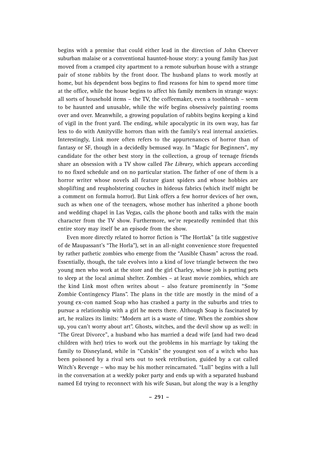begins with a premise that could either lead in the direction of John Cheever suburban malaise or a conventional haunted-house story: a young family has just moved from a cramped city apartment to a remote suburban house with a strange pair of stone rabbits by the front door. The husband plans to work mostly at home, but his dependent boss begins to find reasons for him to spend more time at the office, while the house begins to affect his family members in strange ways: all sorts of household items – the TV, the coffeemaker, even a toothbrush – seem to be haunted and unusable, while the wife begins obsessively painting rooms over and over. Meanwhile, a growing population of rabbits begins keeping a kind of vigil in the front yard. The ending, while apocalyptic in its own way, has far less to do with Amityville horrors than with the family's real internal anxieties. Interestingly, Link more often refers to the appurtenances of horror than of fantasy or SF, though in a decidedly bemused way. In "Magic for Beginners", my candidate for the other best story in the collection, a group of teenage friends share an obsession with a TV show called *The Library*, which appears according to no fixed schedule and on no particular station. The father of one of them is a horror writer whose novels all feature giant spiders and whose hobbies are shoplifting and reupholstering couches in hideous fabrics (which itself might be a comment on formula horror). But Link offers a few horror devices of her own, such as when one of the teenagers, whose mother has inherited a phone booth and wedding chapel in Las Vegas, calls the phone booth and talks with the main character from the TV show. Furthermore, we're repeatedly reminded that this entire story may itself be an episode from the show.

Even more directly related to horror fiction is "The Hortlak" (a title suggestive of de Maupassant's "The Horla"), set in an all-night convenience store frequented by rather pathetic zombies who emerge from the "Ausible Chasm" across the road. Essentially, though, the tale evolves into a kind of love triangle between the two young men who work at the store and the girl Charley, whose job is putting pets to sleep at the local animal shelter. Zombies – at least movie zombies, which are the kind Link most often writes about – also feature prominently in "Some Zombie Contingency Plans". The plans in the title are mostly in the mind of a young ex-con named Soap who has crashed a party in the suburbs and tries to pursue a relationship with a girl he meets there. Although Soap is fascinated by art, he realizes its limits: "Modern art is a waste of time. When the zombies show up, you can't worry about art". Ghosts, witches, and the devil show up as well: in "The Great Divorce", a husband who has married a dead wife (and had two dead children with her) tries to work out the problems in his marriage by taking the family to Disneyland, while in "Catskin" the youngest son of a witch who has been poisoned by a rival sets out to seek retribution, guided by a cat called Witch's Revenge – who may be his mother reincarnated. "Lull" begins with a lull in the conversation at a weekly poker party and ends up with a separated husband named Ed trying to reconnect with his wife Susan, but along the way is a lengthy